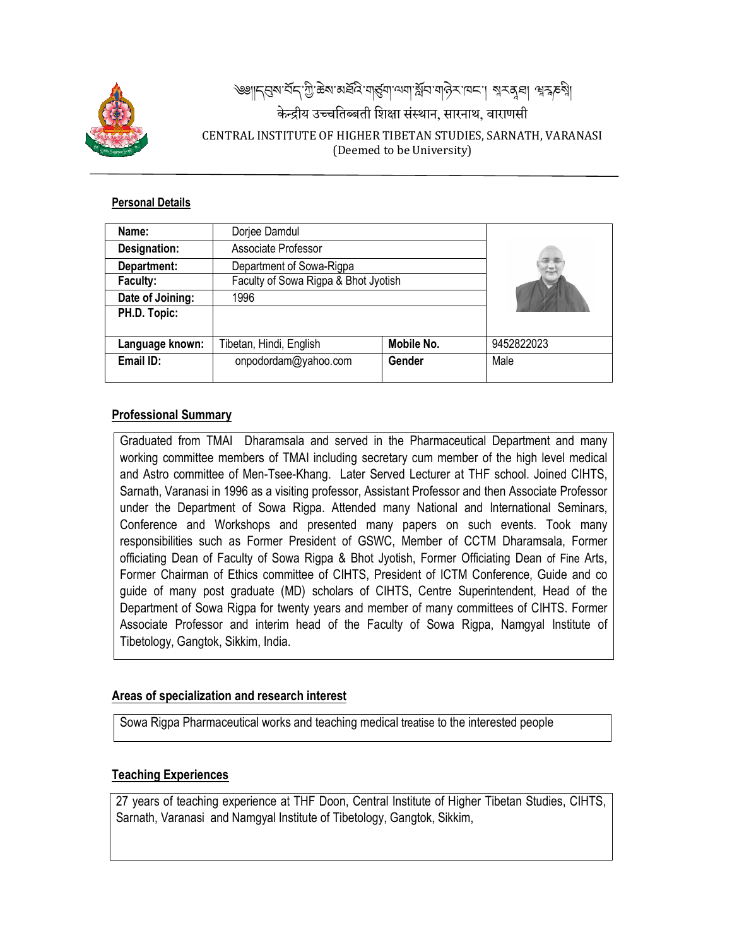

# ৰ্জাৰ্দ্ৰিন্দ্ৰান্দ্ৰী, ছৰ'ন্সৰ্লুন্দ্ৰান্দ্ৰাণ্যৰ বিদ্যালক পৰিকল্পি।<br>কাম কৰা বিদ্যালক বিদ্যালক বিদ্যালক বিদ্যালক केन्द्रीय उच्चतिब्बती शिक्षा संस्थान, सारनाथ, वाराणसी CENTRAL INSTITUTE OF HIGHER TIBETAN STUDIES, SARNATH, VARANASI (Deemed to be University)

#### **Personal Details**

| Name:            | Dorjee Damdul                        |            |            |
|------------------|--------------------------------------|------------|------------|
| Designation:     | Associate Professor                  |            |            |
| Department:      | Department of Sowa-Rigpa             |            |            |
| Faculty:         | Faculty of Sowa Rigpa & Bhot Jyotish |            |            |
| Date of Joining: | 1996                                 |            |            |
| PH.D. Topic:     |                                      |            |            |
|                  |                                      |            |            |
| Language known:  | Fibetan, Hindi, English              | Mobile No. | 9452822023 |
| Email ID:        | onpodordam@yahoo.com                 | Gender     | Male       |
|                  |                                      |            |            |

# **Professional Summary**

Graduated from TMAI Dharamsala and served in the Pharmaceutical Department and many working committee members of TMAI including secretary cum member of the high level medical and Astro committee of Men-Tsee-Khang. Later Served Lecturer at THF school. Joined CIHTS, Sarnath, Varanasi in 1996 as a visiting professor, Assistant Professor and then Associate Professor under the Department of Sowa Rigpa. Attended many National and International Seminars, Conference and Workshops and presented many papers on such events. Took many responsibilities such as Former President of GSWC, Member of CCTM Dharamsala, Former officiating Dean of Faculty of Sowa Rigpa & Bhot Jyotish, Former Officiating Dean of Fine Arts, Former Chairman of Ethics committee of CIHTS, President of ICTM Conference, Guide and co guide of many post graduate (MD) scholars of CIHTS, Centre Superintendent, Head of the Department of Sowa Rigpa for twenty years and member of many committees of CIHTS. Former Associate Professor and interim head of the Faculty of Sowa Rigpa, Namgyal Institute of Tibetology, Gangtok, Sikkim, India.

### **Areas of specialization and resear arch interest**

Sowa Rigpa Pharmaceutical works and teaching medical treatise to the interested people

#### **Teaching Experiences**

27 years of teaching experience at THF Doon, Central Institute of Higher Tibetan Studies, CIHTS, Sarnath, Varanasi and Namgyal Institute of Tibetology, Gangtok, Sikkim,